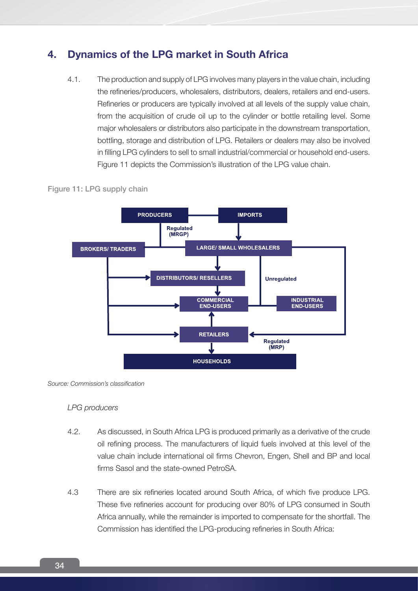# **4. Dynamics of the LPG market in South Africa**

4.1. The production and supply of LPG involves many players in the value chain, including the refineries/producers, wholesalers, distributors, dealers, retailers and end-users. Refineries or producers are typically involved at all levels of the supply value chain, from the acquisition of crude oil up to the cylinder or bottle retailing level. Some major wholesalers or distributors also participate in the downstream transportation, bottling, storage and distribution of LPG. Retailers or dealers may also be involved in filling LPG cylinders to sell to small industrial/commercial or household end-users. Figure 11 depicts the Commission's illustration of the LPG value chain.



#### Figure 11: LPG supply chain

*Source: Commission's classification*

#### *LPG producers*

- 4.2. As discussed, in South Africa LPG is produced primarily as a derivative of the crude oil refining process. The manufacturers of liquid fuels involved at this level of the value chain include international oil firms Chevron, Engen, Shell and BP and local firms Sasol and the state-owned PetroSA.
- 4.3 There are six refineries located around South Africa, of which five produce LPG. These five refineries account for producing over 80% of LPG consumed in South Africa annually, while the remainder is imported to compensate for the shortfall. The Commission has identified the LPG-producing refineries in South Africa: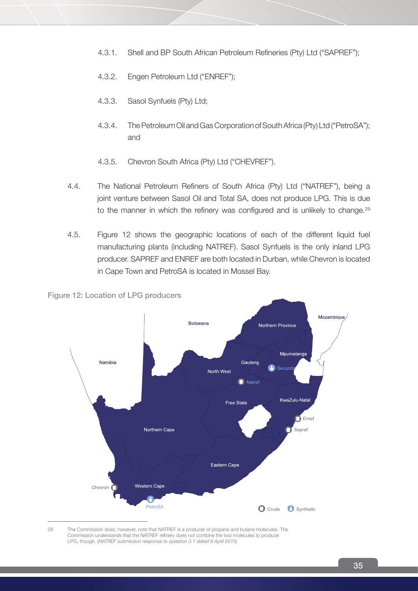- 4.3.1. Shell and BP South African Petroleum Refineries (Pty) Ltd ("SAPREF");
- 4.3.2. Engen Petroleum Ltd ("ENREF");
- 4.3.3. Sasol Synfuels (Pty) Ltd;
- 4.3.4. The Petroleum Oil and Gas Corporation of South Africa (Pty) Ltd ("PetroSA"); and
- 4.3.5. Chevron South Africa (Pty) Ltd ("CHEVREF").
- 4.4. The National Petroleum Refiners of South Africa (Pty) Ltd ("NATREF"), being a joint venture between Sasol Oil and Total SA, does not produce LPG. This is due to the manner in which the refinery was configured and is unlikely to change.<sup>29</sup>
- 4.5. Figure 12 shows the geographic locations of each of the different liquid fuel manufacturing plants (including NATREF). Sasol Synfuels is the only inland LPG producer. SAPREF and ENREF are both located in Durban, while Chevron is located in Cape Town and PetroSA is located in Mossel Bay.

Mozambique **Botswana** Northern Province Mpumalanga Namibia Gauteng North West **Natref** KwaZulu-Natal Free State  $\Box$  Enref Sapref Northern Cape Eastern Cape Western Cape Chevron Я PetroSA **O** Crude **O** Synthetic

Figure 12: Location of LPG producers

29 The Commission does, however, note that NATREF is a producer of propane and butane molecules. The Commission understands that the NATREF refinery does not combine the two molecules to produce LPG, though. (*NATREF submission response to question 3.1 dated 9 April 2015*)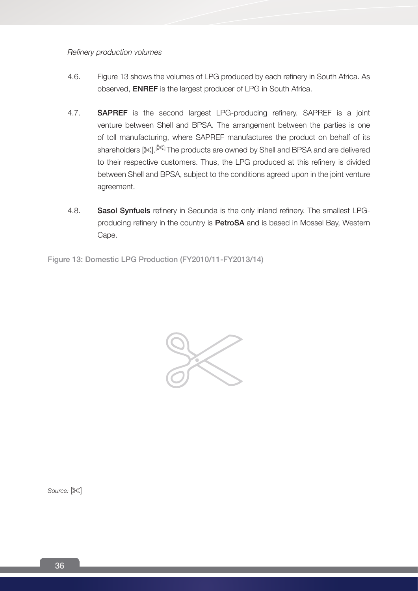*Refinery production volumes*

- 4.6. Figure 13 shows the volumes of LPG produced by each refinery in South Africa. As observed, ENREF is the largest producer of LPG in South Africa.
- 4.7. **SAPREF** is the second largest LPG-producing refinery. SAPREF is a joint venture between Shell and BPSA. The arrangement between the parties is one of toll manufacturing, where SAPREF manufactures the product on behalf of its shareholders [ $\ll$ ].[ $\lll$ ] The products are owned by Shell and BPSA and are delivered to their respective customers. Thus, the LPG produced at this refinery is divided between Shell and BPSA, subject to the conditions agreed upon in the joint venture agreement.
- 4.8. Sasol Synfuels refinery in Secunda is the only inland refinery. The smallest LPGproducing refinery in the country is **PetroSA** and is based in Mossel Bay, Western Cape.

Figure 13: Domestic LPG Production (FY2010/11-FY2013/14)



Source:  $\mathbb{X}$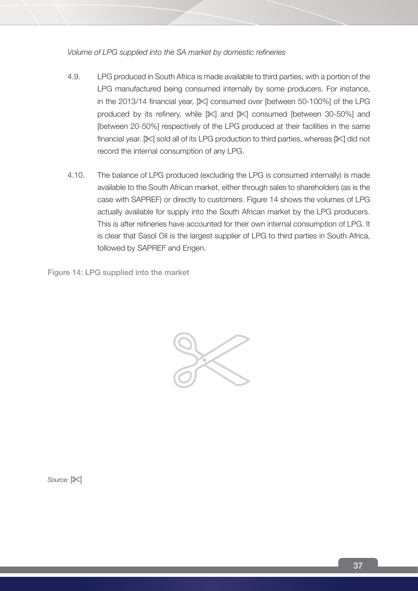*Volume of LPG supplied into the SA market by domestic refineries*

- 4.9. LPG produced in South Africa is made available to third parties, with a portion of the LPG manufactured being consumed internally by some producers. For instance, in the 2013/14 financial year, [ $\ll$ ] consumed over [between 50-100%] of the LPG produced by its refinery, while  $\ll$  and  $\ll$  consumed [between 30-50%] and [between 20-50%] respectively of the LPG produced at their facilities in the same financial year.  $[\mathcal{K}]$  sold all of its LPG production to third parties, whereas  $[\mathcal{K}]$  did not record the internal consumption of any LPG.
- 4.10. The balance of LPG produced (excluding the LPG is consumed internally) is made available to the South African market, either through sales to shareholders (as is the case with SAPREF) or directly to customers. Figure 14 shows the volumes of LPG actually available for supply into the South African market by the LPG producers. This is after refineries have accounted for their own internal consumption of LPG. It is clear that Sasol Oil is the largest supplier of LPG to third parties in South Africa, followed by SAPREF and Engen.

Figure 14: LPG supplied into the market



Source:  $\mathbb{X}$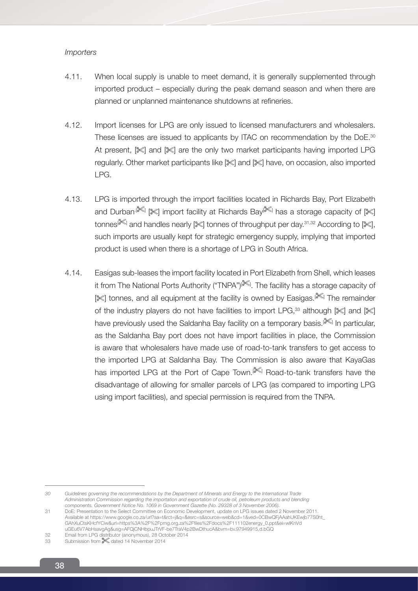## *Importers*

- 4.11. When local supply is unable to meet demand, it is generally supplemented through imported product – especially during the peak demand season and when there are planned or unplanned maintenance shutdowns at refineries.
- 4.12. Import licenses for LPG are only issued to licensed manufacturers and wholesalers. These licenses are issued to applicants by ITAC on recommendation by the DoE.<sup>30</sup> At present,  $\mathbb{R}$  and  $\mathbb{R}$  are the only two market participants having imported LPG regularly. Other market participants like  $\ll$  and  $\ll$  have, on occasion, also imported LPG.
- 4.13. LPG is imported through the import facilities located in Richards Bay, Port Elizabeth and Durban<sup>.[366</sup>] [36] import facility at Richards Bay<sup>[366]</sup> has a storage capacity of [366] tonnes[ $\llbracket \infty \rrbracket$  and handles nearly  $[\llbracket \times \rrbracket$  tonnes of throughput per day. $^{31,32}$  According to  $[\llbracket \times \rrbracket]$ , such imports are usually kept for strategic emergency supply, implying that imported product is used when there is a shortage of LPG in South Africa.
- 4.14. Easigas sub-leases the import facility located in Port Elizabeth from Shell, which leases it from The National Ports Authority ("TNPA")[<sup>366]</sup>. The facility has a storage capacity of [ $\ll$ ] tonnes, and all equipment at the facility is owned by Easigas.<sup>[ $\ll$ ]</sup> The remainder of the industry players do not have facilities to import LPG,<sup>33</sup> although  $\ll 1$  and  $\ll 1$ have previously used the Saldanha Bay facility on a temporary basis.[<sup>3664]</sup> In particular, as the Saldanha Bay port does not have import facilities in place, the Commission is aware that wholesalers have made use of road-to-tank transfers to get access to the imported LPG at Saldanha Bay. The Commission is also aware that KayaGas has imported LPG at the Port of Cape Town.<sup>[ $\lll$ </sup>] Road-to-tank transfers have the disadvantage of allowing for smaller parcels of LPG (as compared to importing LPG using import facilities), and special permission is required from the TNPA.

*<sup>30</sup> Guidelines governing the recommendations by the Department of Minerals and Energy to the International Trade Administration Commission regarding the importation and exportation of crude oil, petroleum products and blending components. Government Notice No. 1069 in Government Gazette (No. 29328 of 3 November 2006).* 

<sup>31</sup> DoE: Presentation to the Select Committee on Economic Development, update on LPG issues dated 2 November 2011. Available at https://www.google.co.za/url?sa=t&rct=j&q=&esrc=s&source=web&cd=1&ved=0CBwQFjAAahUKEwjb77S0ht\_ GAhXuCtsKHcfYCiw&url=https%3A%2F%2Fpmg.org.za%2Ffiles%2Fdocs%2F111102energy\_0.ppt&ei=wlKnVd uGEu6V7AbHsavgAg&usg=AFQjCNHbpuJTrVF-be7TraV4p2BwDthucA&bvm=bv.97949915,d.bGQ

<sup>32</sup> Email from LPG distributor (anonymous), 28 October 2014

<sup>33</sup> Submission from  $\approx$  dated 14 November 2014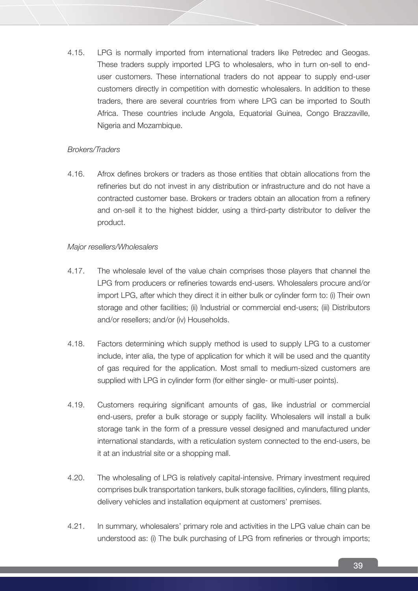4.15. LPG is normally imported from international traders like Petredec and Geogas. These traders supply imported LPG to wholesalers, who in turn on-sell to enduser customers. These international traders do not appear to supply end-user customers directly in competition with domestic wholesalers. In addition to these traders, there are several countries from where LPG can be imported to South Africa. These countries include Angola, Equatorial Guinea, Congo Brazzaville, Nigeria and Mozambique.

## *Brokers/Traders*

4.16. Afrox defines brokers or traders as those entities that obtain allocations from the refineries but do not invest in any distribution or infrastructure and do not have a contracted customer base. Brokers or traders obtain an allocation from a refinery and on-sell it to the highest bidder, using a third-party distributor to deliver the product.

## *Major resellers/Wholesalers*

- 4.17. The wholesale level of the value chain comprises those players that channel the LPG from producers or refineries towards end-users. Wholesalers procure and/or import LPG, after which they direct it in either bulk or cylinder form to: (i) Their own storage and other facilities; (ii) Industrial or commercial end-users; (iii) Distributors and/or resellers; and/or (iv) Households.
- 4.18. Factors determining which supply method is used to supply LPG to a customer include, inter alia, the type of application for which it will be used and the quantity of gas required for the application. Most small to medium-sized customers are supplied with LPG in cylinder form (for either single- or multi-user points).
- 4.19. Customers requiring significant amounts of gas, like industrial or commercial end-users, prefer a bulk storage or supply facility. Wholesalers will install a bulk storage tank in the form of a pressure vessel designed and manufactured under international standards, with a reticulation system connected to the end-users, be it at an industrial site or a shopping mall.
- 4.20. The wholesaling of LPG is relatively capital-intensive. Primary investment required comprises bulk transportation tankers, bulk storage facilities, cylinders, filling plants, delivery vehicles and installation equipment at customers' premises.
- 4.21. In summary, wholesalers' primary role and activities in the LPG value chain can be understood as: (i) The bulk purchasing of LPG from refineries or through imports;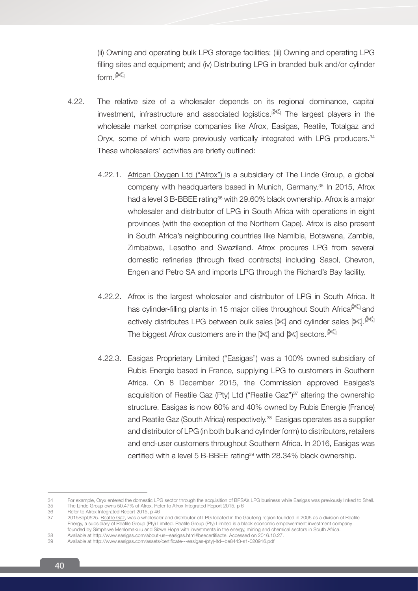(ii) Owning and operating bulk LPG storage facilities; (iii) Owning and operating LPG filling sites and equipment; and (iv) Distributing LPG in branded bulk and/or cylinder form. $[$ 

- 4.22. The relative size of a wholesaler depends on its regional dominance, capital investment, infrastructure and associated logistics.<sup>[366]</sup> The largest players in the wholesale market comprise companies like Afrox, Easigas, Reatile, Totalgaz and Oryx, some of which were previously vertically integrated with LPG producers.<sup>34</sup> These wholesalers' activities are briefly outlined:
	- 4.22.1. African Oxygen Ltd ("Afrox") is a subsidiary of The Linde Group, a global company with headquarters based in Munich, Germany.35 In 2015, Afrox had a level 3 B-BBEE rating<sup>36</sup> with 29.60% black ownership. Afrox is a major wholesaler and distributor of LPG in South Africa with operations in eight provinces (with the exception of the Northern Cape). Afrox is also present in South Africa's neighbouring countries like Namibia, Botswana, Zambia, Zimbabwe, Lesotho and Swaziland. Afrox procures LPG from several domestic refineries (through fixed contracts) including Sasol, Chevron, Engen and Petro SA and imports LPG through the Richard's Bay facility.
	- 4.22.2. Afrox is the largest wholesaler and distributor of LPG in South Africa. It has cylinder-filling plants in 15 major cities throughout South Africa<sup>[<sup>366]</sup> and</sup> actively distributes LPG between bulk sales [%] and cylinder sales [%].[<sup>366]</sup> The biggest Afrox customers are in the  $\mathbb{R}$  and  $\mathbb{R}$  sectors. $\mathbb{R}$
	- 4.22.3. Easigas Proprietary Limited ("Easigas") was a 100% owned subsidiary of Rubis Energie based in France, supplying LPG to customers in Southern Africa. On 8 December 2015, the Commission approved Easigas's acquisition of Reatile Gaz (Pty) Ltd ("Reatile Gaz")<sup>37</sup> altering the ownership structure. Easigas is now 60% and 40% owned by Rubis Energie (France) and Reatile Gaz (South Africa) respectively.<sup>38</sup> Easigas operates as a supplier and distributor of LPG (in both bulk and cylinder form) to distributors, retailers and end-user customers throughout Southern Africa. In 2016, Easigas was certified with a level 5 B-BBEE rating<sup>39</sup> with 28.34% black ownership.

<sup>34</sup> For example, Oryx entered the domestic LPG sector through the acquisition of BPSA's LPG business while Easigas was previously linked to Shell.<br>35 The Linde Group owns 50.47% of Afrox. Refer to Afrox Integrated Report 20 35 The Linde Group owns 50.47% of Afrox. Refer to Afrox Integrated Report 2015, p 6

<sup>36</sup> Refer to Afrox Integrated Report 2015, p 46<br>37 2015 Sep0525 Reatile Gaz was a wholesale 37 2015Sep0525. Reatile Gaz, was a wholesaler and distributor of LPG located in the Gauteng region founded in 2006 as a division of Reatile Energy, a subsidiary of Reatile Group (Pty) Limited. Reatile Group (Pty) Limited is a black economic empowerment investment company founded by Simphiwe Mehlomakulu and Sizwe Hopa with investments in the energy, mining and chemical sectors in South Africa.

<sup>38</sup> Available at http://www.easigas.com/about-us--easigas.html#beecertifiacte. Accessed on 2016.10.27. 39 Available at http://www.easigas.com/assets/certificate---easigas-(pty)-ltd--be8443-s1-020916.pdf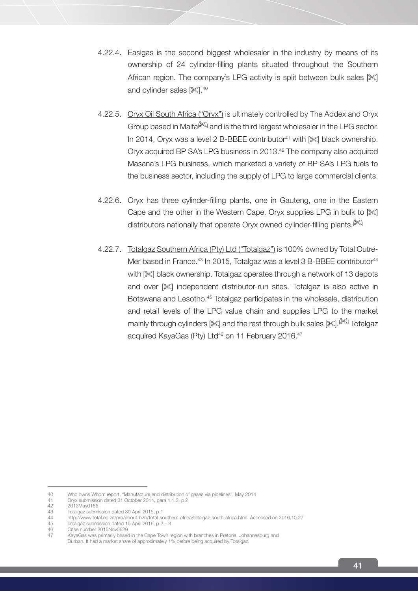- 4.22.4. Easigas is the second biggest wholesaler in the industry by means of its ownership of 24 cylinder-filling plants situated throughout the Southern African region. The company's LPG activity is split between bulk sales [ $\ll$ ] and cylinder sales [ $\llbracket$ .<sup>40</sup>
- 4.22.5. Oryx Oil South Africa ("Oryx") is ultimately controlled by The Addex and Oryx Group based in Malta<sup>[866]</sup> and is the third largest wholesaler in the LPG sector. In 2014, Oryx was a level 2 B-BBEE contributor<sup>41</sup> with  $\ll$  black ownership. Oryx acquired BP SA's LPG business in 2013.<sup>42</sup> The company also acquired Masana's LPG business, which marketed a variety of BP SA's LPG fuels to the business sector, including the supply of LPG to large commercial clients.
- 4.22.6. Oryx has three cylinder-filling plants, one in Gauteng, one in the Eastern Cape and the other in the Western Cape. Oryx supplies LPG in bulk to  $\lll$ distributors nationally that operate Oryx owned cylinder-filling plants.<sup>[36]</sup>
- 4.22.7. Totalgaz Southern Africa (Pty) Ltd ("Totalgaz") is 100% owned by Total Outre-Mer based in France.<sup>43</sup> In 2015, Totalgaz was a level 3 B-BBEE contributor<sup>44</sup> with  $\ll$  black ownership. Totalgaz operates through a network of 13 depots and over  $\mathbb{R}$  independent distributor-run sites. Totalgaz is also active in Botswana and Lesotho.<sup>45</sup> Totalgaz participates in the wholesale, distribution and retail levels of the LPG value chain and supplies LPG to the market mainly through cylinders [%] and the rest through bulk sales [%].<sup>[%]</sup> Totalgaz acquired KayaGas (Pty) Ltd<sup>46</sup> on 11 February 2016.<sup>47</sup>

<sup>40</sup> Who owns Whom report, "Manufacture and distribution of gases via pipelines", May 2014

<sup>41</sup> Oryx submission dated 31 October 2014, para 1.1.3, p 2

<sup>42 2013</sup>May0185<br>43 Totalgaz submi

<sup>43</sup> Totalgaz submission dated 30 April 2015, p 1<br>44 http://www.total.co.za/pro/about-b2b/total-se

<sup>44</sup> http://www.total.co.za/pro/about-b2b/total-southern-africa/totalgaz-south-africa.html. Accessed on 2016.10.27

<sup>45</sup> Totalgaz submission dated 15 April 2016, p 2 – 3

<sup>46</sup> Case number 2015Nov0629<br>47 KavaGas was primarily based

KayaGas was primarily based in the Cape Town region with branches in Pretoria, Johannesburg and Durban. It had a market share of approximately 1% before being acquired by Totalgaz.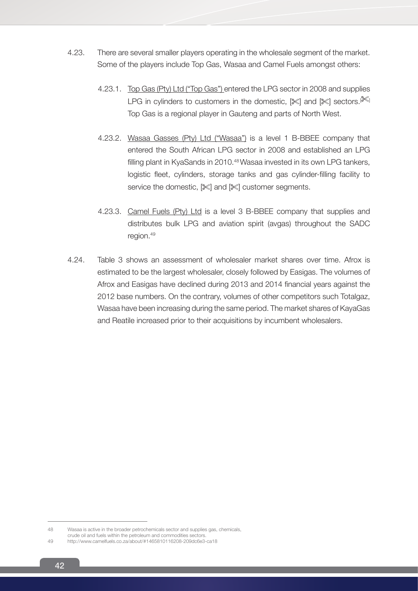- 4.23. There are several smaller players operating in the wholesale segment of the market. Some of the players include Top Gas, Wasaa and Camel Fuels amongst others:
	- 4.23.1. Top Gas (Pty) Ltd ("Top Gas") entered the LPG sector in 2008 and supplies LPG in cylinders to customers in the domestic,  $\mathbb{R}$  and  $\mathbb{R}$  sectors. $\mathbb{R}$ Top Gas is a regional player in Gauteng and parts of North West.
	- 4.23.2. Wasaa Gasses (Pty) Ltd ("Wasaa") is a level 1 B-BBEE company that entered the South African LPG sector in 2008 and established an LPG filling plant in KyaSands in 2010.<sup>48</sup> Wasaa invested in its own LPG tankers, logistic fleet, cylinders, storage tanks and gas cylinder-filling facility to service the domestic,  $[\mathbb{X}]$  and  $[\mathbb{X}]$  customer segments.
	- 4.23.3. Camel Fuels (Pty) Ltd is a level 3 B-BBEE company that supplies and distributes bulk LPG and aviation spirit (avgas) throughout the SADC region.49
- 4.24. Table 3 shows an assessment of wholesaler market shares over time. Afrox is estimated to be the largest wholesaler, closely followed by Easigas. The volumes of Afrox and Easigas have declined during 2013 and 2014 financial years against the 2012 base numbers. On the contrary, volumes of other competitors such Totalgaz, Wasaa have been increasing during the same period. The market shares of KayaGas and Reatile increased prior to their acquisitions by incumbent wholesalers.

<sup>48</sup> Wasaa is active in the broader petrochemicals sector and supplies gas, chemicals,

crude oil and fuels within the petroleum and commodities sectors.

<sup>49</sup> http://www.camelfuels.co.za/about/#1465810116208-209dc6e3-ca18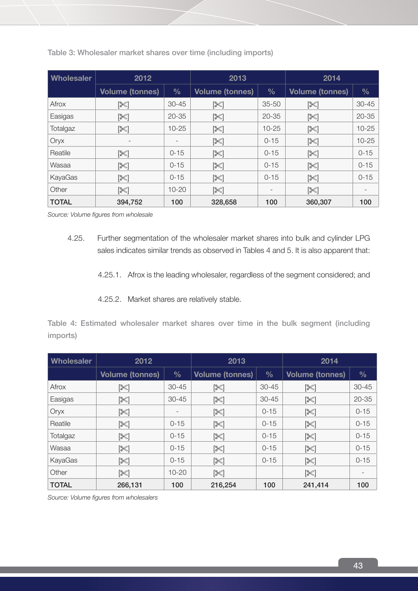| <b>Wholesaler</b> | 2012                     |                 | 2013                   |                          | 2014                   |               |
|-------------------|--------------------------|-----------------|------------------------|--------------------------|------------------------|---------------|
|                   | <b>Volume (tonnes)</b>   | $\frac{0}{0}$   | <b>Volume (tonnes)</b> | $\frac{0}{0}$            | <b>Volume (tonnes)</b> | $\frac{0}{0}$ |
| Afrox             | [‰                       | $30 - 45$       | [※]                    | $35 - 50$                | [≫]                    | $30 - 45$     |
| Easigas           | [≫]                      | $20 - 35$       | $[\mathbb{X}]$         | $20 - 35$                | ≫∏                     | $20 - 35$     |
| Totalgaz          | $[\mathbb{X}]$           | $10 - 25$       | $[\mathbb{X}]$         | $10 - 25$                | $[\mathbb{X}]$         | $10 - 25$     |
| Oryx              | $\overline{\phantom{0}}$ | $\qquad \qquad$ | ≫                      | $0 - 15$                 | ≫                      | $10 - 25$     |
| Reatile           | $[\mathbb{X}]$           | $0 - 15$        | [X]                    | $0 - 15$                 | [X]                    | $0 - 15$      |
| Wasaa             | $[\mathbb{X}]$           | $0 - 15$        | $[\mathbb{X}]$         | $0 - 15$                 | ≫                      | $0 - 15$      |
| KayaGas           | $[\mathbb{X}]$           | $0 - 15$        | $[\mathbb{X}]$         | $0 - 15$                 | $[\mathbb{X}]$         | $0 - 15$      |
| Other             | $[\mathbb{X}]$           | $10 - 20$       | $\mathbb{X}$           | $\overline{\phantom{0}}$ | [≫]                    |               |
| <b>TOTAL</b>      | 394,752                  | 100             | 328,658                | 100                      | 360,307                | 100           |

Table 3: Wholesaler market shares over time (including imports)

*Source: Volume figures from wholesale*

- 4.25. Further segmentation of the wholesaler market shares into bulk and cylinder LPG sales indicates similar trends as observed in Tables 4 and 5. It is also apparent that:
	- 4.25.1. Afrox is the leading wholesaler, regardless of the segment considered; and
	- 4.25.2. Market shares are relatively stable.

Table 4: Estimated wholesaler market shares over time in the bulk segment (including imports)

| <b>Wholesaler</b> | 2012                   |                          | 2013                   |               | 2014                   |                          |
|-------------------|------------------------|--------------------------|------------------------|---------------|------------------------|--------------------------|
|                   | <b>Volume (tonnes)</b> | $\frac{0}{0}$            | <b>Volume (tonnes)</b> | $\frac{0}{0}$ | <b>Volume (tonnes)</b> | $\frac{0}{0}$            |
| Afrox             | [※                     | $30 - 45$                | [≫∏                    | $30 - 45$     | [X]                    | $30 - 45$                |
| Easigas           | [≫]                    | $30 - 45$                | [≫]                    | $30 - 45$     | $\mathbb{X}$           | $20 - 35$                |
| Oryx              | [X]                    | $\overline{\phantom{a}}$ | [≫∏                    | $0 - 15$      | [≫]                    | $0 - 15$                 |
| Reatile           | $[\mathbb{X}]$         | $0 - 15$                 | ⊠ן                     | $0 - 15$      | $[\mathbb{X}]$         | $0 - 15$                 |
| Totalgaz          | [X]                    | $0 - 15$                 | ⊠ן                     | $0 - 15$      | [≫]                    | $0 - 15$                 |
| Wasaa             | [X]                    | $0 - 15$                 | ⊠ן                     | $0 - 15$      | $[\mathbb{X}]$         | $0 - 15$                 |
| KayaGas           | ≫                      | $0 - 15$                 | [≫]                    | $0 - 15$      | [≫]                    | $0 - 15$                 |
| Other             | $[\mathbb{X}]$         | $10 - 20$                | $[\mathbb{X}]$         |               | $[\mathbb{X}]$         | $\overline{\phantom{a}}$ |
| <b>TOTAL</b>      | 266,131                | 100                      | 216,254                | 100           | 241,414                | 100                      |

*Source: Volume figures from wholesalers*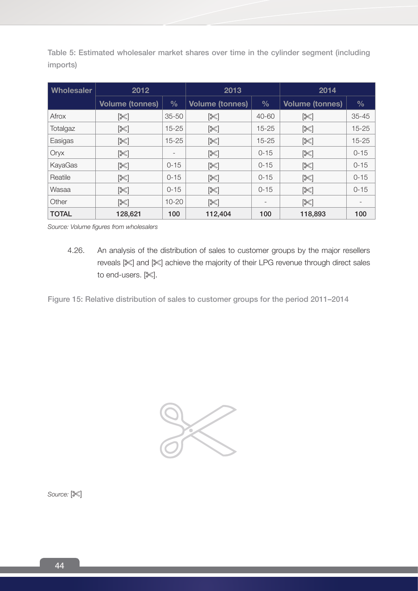Table 5: Estimated wholesaler market shares over time in the cylinder segment (including imports)

| <b>Wholesaler</b> | 2012                   |               | 2013                   |                          | 2014                   |                          |
|-------------------|------------------------|---------------|------------------------|--------------------------|------------------------|--------------------------|
|                   | <b>Volume (tonnes)</b> | $\frac{0}{0}$ | <b>Volume (tonnes)</b> | $\frac{0}{0}$            | <b>Volume (tonnes)</b> | $\frac{9}{6}$            |
| Afrox             | $[\mathbb{X}]$         | $35 - 50$     | [X]                    | 40-60                    | $[\mathbb{X}]$         | $35 - 45$                |
| Totalgaz          | $[\mathbb{X}]$         | $15 - 25$     | $\mathbb{X}$           | $15 - 25$                | $[\mathbb{X}]$         | $15 - 25$                |
| Easigas           | [≫]                    | $15 - 25$     | [≫]                    | $15 - 25$                | [≫]                    | $15 - 25$                |
| Oryx              | $[\mathbb{X}]$         |               | $[\mathbb{X}]$         | $0 - 15$                 | $[\mathbb{X}]$         | $0 - 15$                 |
| KayaGas           | [≫]                    | $0 - 15$      | [≫∏                    | $0 - 15$                 | $[\mathbb{X}]$         | $0 - 15$                 |
| Reatile           | $[\mathbb{X}]$         | $0 - 15$      | <b>13K</b>             | $0 - 15$                 | $[\mathbb{X}]$         | $0 - 15$                 |
| Wasaa             | [≫]                    | $0 - 15$      | [≫]                    | $0 - 15$                 | [≫]                    | $0 - 15$                 |
| Other             | $\mathbb{K}$           | $10 - 20$     | $\mathbb{X}$           | $\overline{\phantom{a}}$ | $[\mathbb{X}]$         | $\overline{\phantom{a}}$ |
| <b>TOTAL</b>      | 128,621                | 100           | 112,404                | 100                      | 118,893                | 100                      |

*Source: Volume figures from wholesalers*

4.26. An analysis of the distribution of sales to customer groups by the major resellers reveals  $\mathbb{R}$  and  $\mathbb{R}$  achieve the majority of their LPG revenue through direct sales to end-users.  $[$ 

Figure 15: Relative distribution of sales to customer groups for the period 2011–2014



Source:  $[\mathbb{X}]$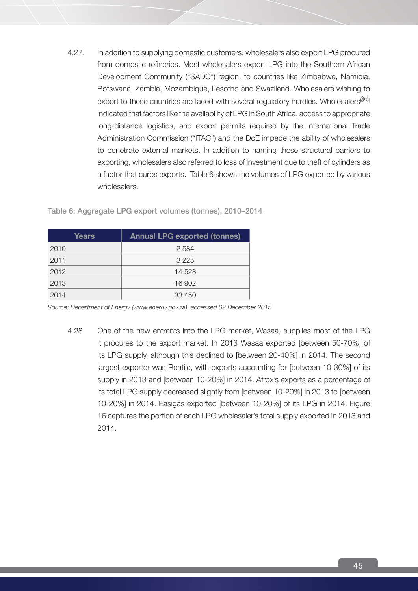4.27. In addition to supplying domestic customers, wholesalers also export LPG procured from domestic refineries. Most wholesalers export LPG into the Southern African Development Community ("SADC") region, to countries like Zimbabwe, Namibia, Botswana, Zambia, Mozambique, Lesotho and Swaziland. Wholesalers wishing to export to these countries are faced with several regulatory hurdles. Wholesalers  $\mathbb{K}$ indicated that factors like the availability of LPG in South Africa, access to appropriate long-distance logistics, and export permits required by the International Trade Administration Commission ("ITAC") and the DoE impede the ability of wholesalers to penetrate external markets. In addition to naming these structural barriers to exporting, wholesalers also referred to loss of investment due to theft of cylinders as a factor that curbs exports. Table 6 shows the volumes of LPG exported by various wholesalers.

| Years | <b>Annual LPG exported (tonnes)</b> |
|-------|-------------------------------------|
| 2010  | 2584                                |
| 2011  | 3 2 2 5                             |
| 2012  | 14 528                              |
| 2013  | 16 902                              |
| 2014  | 33 450                              |

Table 6: Aggregate LPG export volumes (tonnes), 2010–2014

*Source: Department of Energy (www.energy.gov.za), accessed 02 December 2015*

4.28. One of the new entrants into the LPG market, Wasaa, supplies most of the LPG it procures to the export market. In 2013 Wasaa exported [between 50-70%] of its LPG supply, although this declined to [between 20-40%] in 2014. The second largest exporter was Reatile, with exports accounting for [between 10-30%] of its supply in 2013 and [between 10-20%] in 2014. Afrox's exports as a percentage of its total LPG supply decreased slightly from [between 10-20%] in 2013 to [between 10-20%] in 2014. Easigas exported [between 10-20%] of its LPG in 2014. Figure 16 captures the portion of each LPG wholesaler's total supply exported in 2013 and 2014.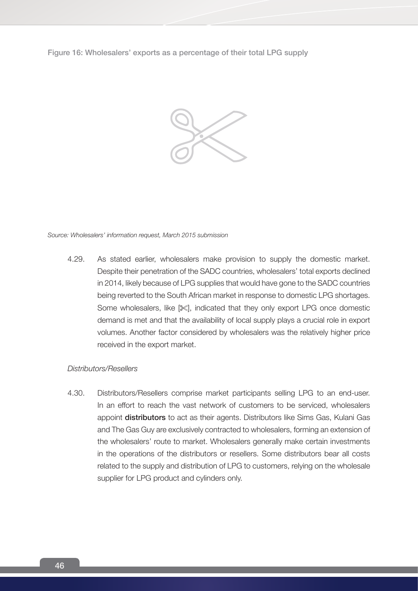Figure 16: Wholesalers' exports as a percentage of their total LPG supply



*Source: Wholesalers' information request, March 2015 submission* 

4.29. As stated earlier, wholesalers make provision to supply the domestic market. Despite their penetration of the SADC countries, wholesalers' total exports declined in 2014, likely because of LPG supplies that would have gone to the SADC countries being reverted to the South African market in response to domestic LPG shortages. Some wholesalers, like [ $\mathbb{X}$ ], indicated that they only export LPG once domestic demand is met and that the availability of local supply plays a crucial role in export volumes. Another factor considered by wholesalers was the relatively higher price received in the export market.

#### *Distributors/Resellers*

4.30. Distributors/Resellers comprise market participants selling LPG to an end-user. In an effort to reach the vast network of customers to be serviced, wholesalers appoint distributors to act as their agents. Distributors like Sims Gas, Kulani Gas and The Gas Guy are exclusively contracted to wholesalers, forming an extension of the wholesalers' route to market. Wholesalers generally make certain investments in the operations of the distributors or resellers. Some distributors bear all costs related to the supply and distribution of LPG to customers, relying on the wholesale supplier for LPG product and cylinders only.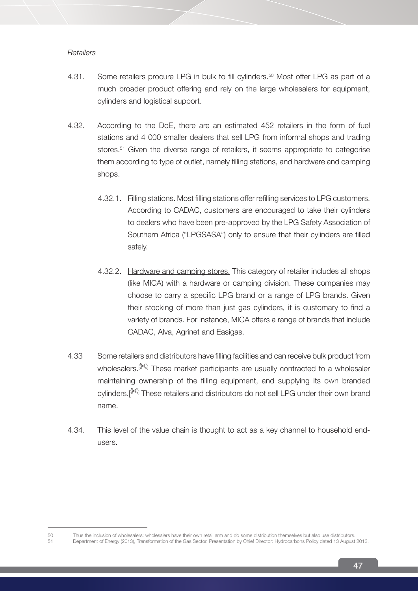## *Retailers*

- 4.31. Some retailers procure LPG in bulk to fill cylinders.<sup>50</sup> Most offer LPG as part of a much broader product offering and rely on the large wholesalers for equipment, cylinders and logistical support.
- 4.32. According to the DoE, there are an estimated 452 retailers in the form of fuel stations and 4 000 smaller dealers that sell LPG from informal shops and trading stores.<sup>51</sup> Given the diverse range of retailers, it seems appropriate to categorise them according to type of outlet, namely filling stations, and hardware and camping shops.
	- 4.32.1. Filling stations. Most filling stations offer refilling services to LPG customers. According to CADAC, customers are encouraged to take their cylinders to dealers who have been pre-approved by the LPG Safety Association of Southern Africa ("LPGSASA") only to ensure that their cylinders are filled safely.
	- 4.32.2. Hardware and camping stores. This category of retailer includes all shops (like MICA) with a hardware or camping division. These companies may choose to carry a specific LPG brand or a range of LPG brands. Given their stocking of more than just gas cylinders, it is customary to find a variety of brands. For instance, MICA offers a range of brands that include CADAC, Alva, Agrinet and Easigas.
- 4.33 Some retailers and distributors have filling facilities and can receive bulk product from wholesalers.<sup>[366]</sup> These market participants are usually contracted to a wholesaler maintaining ownership of the filling equipment, and supplying its own branded cylinders.[<sup>366]</sup> These retailers and distributors do not sell LPG under their own brand name.
- 4.34. This level of the value chain is thought to act as a key channel to household endusers.

<sup>50</sup> Thus the inclusion of wholesalers: wholesalers have their own retail arm and do some distribution themselves but also use distributors.<br>51 Department of Energy (2013) Transformation of the Gas Sector Presentation by Chi 51 Department of Energy (2013), Transformation of the Gas Sector. Presentation by Chief Director: Hydrocarbons Policy dated 13 August 2013.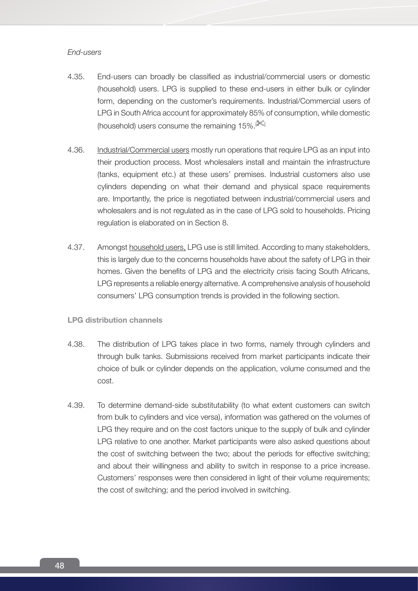## *End-users*

- 4.35. End-users can broadly be classified as industrial/commercial users or domestic (household) users. LPG is supplied to these end-users in either bulk or cylinder form, depending on the customer's requirements. Industrial/Commercial users of LPG in South Africa account for approximately 85% of consumption, while domestic (household) users consume the remaining  $15\%$ .<sup>[ $\ll 1$ </sup>]
- 4.36. Industrial/Commercial users mostly run operations that require LPG as an input into their production process. Most wholesalers install and maintain the infrastructure (tanks, equipment etc.) at these users' premises. Industrial customers also use cylinders depending on what their demand and physical space requirements are. Importantly, the price is negotiated between industrial/commercial users and wholesalers and is not regulated as in the case of LPG sold to households. Pricing regulation is elaborated on in Section 8.
- 4.37. Amongst household users, LPG use is still limited. According to many stakeholders, this is largely due to the concerns households have about the safety of LPG in their homes. Given the benefits of LPG and the electricity crisis facing South Africans, LPG represents a reliable energy alternative. A comprehensive analysis of household consumers' LPG consumption trends is provided in the following section.

## **LPG distribution channels**

- 4.38. The distribution of LPG takes place in two forms, namely through cylinders and through bulk tanks. Submissions received from market participants indicate their choice of bulk or cylinder depends on the application, volume consumed and the cost.
- 4.39. To determine demand-side substitutability (to what extent customers can switch from bulk to cylinders and vice versa), information was gathered on the volumes of LPG they require and on the cost factors unique to the supply of bulk and cylinder LPG relative to one another. Market participants were also asked questions about the cost of switching between the two; about the periods for effective switching; and about their willingness and ability to switch in response to a price increase. Customers' responses were then considered in light of their volume requirements; the cost of switching; and the period involved in switching.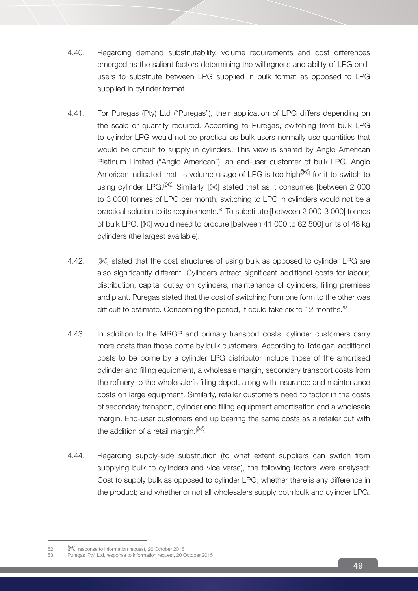- 4.40. Regarding demand substitutability, volume requirements and cost differences emerged as the salient factors determining the willingness and ability of LPG endusers to substitute between LPG supplied in bulk format as opposed to LPG supplied in cylinder format.
- 4.41. For Puregas (Pty) Ltd ("Puregas"), their application of LPG differs depending on the scale or quantity required. According to Puregas, switching from bulk LPG to cylinder LPG would not be practical as bulk users normally use quantities that would be difficult to supply in cylinders. This view is shared by Anglo American Platinum Limited ("Anglo American"), an end-user customer of bulk LPG. Anglo American indicated that its volume usage of LPG is too high<sup>[\*</sup> for it to switch to using cylinder LPG.<sup>[ $\ll$ ]</sup> Similarly,  $\ll$ ] stated that as it consumes [between 2 000 to 3 000] tonnes of LPG per month, switching to LPG in cylinders would not be a practical solution to its requirements.52 To substitute [between 2 000-3 000] tonnes of bulk LPG,  $\ll$  would need to procure [between 41 000 to 62 500] units of 48 kg cylinders (the largest available).
- 4.42. **[** $\ll$ **]** stated that the cost structures of using bulk as opposed to cylinder LPG are also significantly different. Cylinders attract significant additional costs for labour, distribution, capital outlay on cylinders, maintenance of cylinders, filling premises and plant. Puregas stated that the cost of switching from one form to the other was difficult to estimate. Concerning the period, it could take six to 12 months.<sup>53</sup>
- 4.43. In addition to the MRGP and primary transport costs, cylinder customers carry more costs than those borne by bulk customers. According to Totalgaz, additional costs to be borne by a cylinder LPG distributor include those of the amortised cylinder and filling equipment, a wholesale margin, secondary transport costs from the refinery to the wholesaler's filling depot, along with insurance and maintenance costs on large equipment. Similarly, retailer customers need to factor in the costs of secondary transport, cylinder and filling equipment amortisation and a wholesale margin. End-user customers end up bearing the same costs as a retailer but with the addition of a retail margin. $[$ <sup> $\ll 1$ </sup>
- 4.44. Regarding supply-side substitution (to what extent suppliers can switch from supplying bulk to cylinders and vice versa), the following factors were analysed: Cost to supply bulk as opposed to cylinder LPG; whether there is any difference in the product; and whether or not all wholesalers supply both bulk and cylinder LPG.

<sup>52 \ \ \,</sup> response to information request, 26 October 2016

<sup>53</sup> Puregas (Pty) Ltd, response to information request, 20 October 2015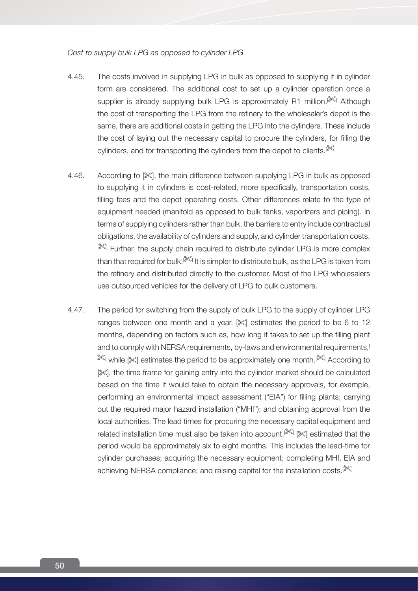*Cost to supply bulk LPG as opposed to cylinder LPG*

- 4.45. The costs involved in supplying LPG in bulk as opposed to supplying it in cylinder form are considered. The additional cost to set up a cylinder operation once a supplier is already supplying bulk LPG is approximately R1 million.<sup>[XXS]</sup> Although the cost of transporting the LPG from the refinery to the wholesaler's depot is the same, there are additional costs in getting the LPG into the cylinders. These include the cost of laying out the necessary capital to procure the cylinders, for filling the cylinders, and for transporting the cylinders from the depot to clients. $[8]$
- 4.46. According to  $\ll 1$ , the main difference between supplying LPG in bulk as opposed to supplying it in cylinders is cost-related, more specifically, transportation costs, filling fees and the depot operating costs. Other differences relate to the type of equipment needed (manifold as opposed to bulk tanks, vaporizers and piping). In terms of supplying cylinders rather than bulk, the barriers to entry include contractual obligations, the availability of cylinders and supply, and cylinder transportation costs.  $\mathbb{R}$  Further, the supply chain required to distribute cylinder LPG is more complex than that required for bulk. ${}^{[\!\!|\mathcal{K}]\!\!|\,}$  It is simpler to distribute bulk, as the LPG is taken from the refinery and distributed directly to the customer. Most of the LPG wholesalers use outsourced vehicles for the delivery of LPG to bulk customers.
- 4.47. The period for switching from the supply of bulk LPG to the supply of cylinder LPG ranges between one month and a year.  $\mathbb{R}$  estimates the period to be 6 to 12 months, depending on factors such as, how long it takes to set up the filling plant and to comply with NERSA requirements, by-laws and environmental requirements.<sup>[1</sup>] I while [ $\ll$ ] estimates the period to be approximately one month.[ $\ll$ ] According to [ $\%$ ], the time frame for gaining entry into the cylinder market should be calculated based on the time it would take to obtain the necessary approvals, for example, performing an environmental impact assessment ("EIA") for filling plants; carrying out the required major hazard installation ("MHI"); and obtaining approval from the local authorities. The lead times for procuring the necessary capital equipment and related installation time must also be taken into account.<sup>[ $\%$ ]</sup> [ $\%$ ] estimated that the period would be approximately six to eight months. This includes the lead-time for cylinder purchases; acquiring the necessary equipment; completing MHI, EIA and achieving NERSA compliance; and raising capital for the installation costs.<sup>[36]</sup>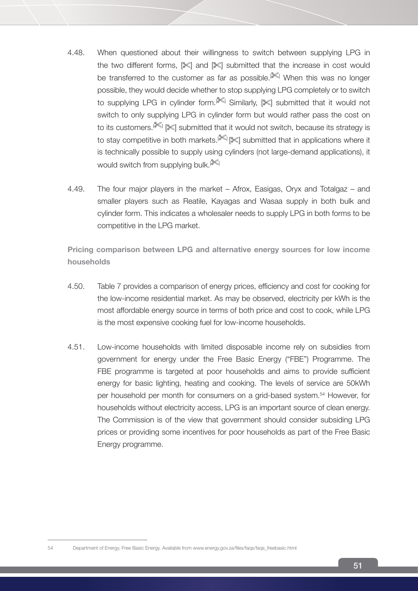- 4.48. When questioned about their willingness to switch between supplying LPG in the two different forms,  $[\mathbb{X}]$  and  $[\mathbb{X}]$  submitted that the increase in cost would be transferred to the customer as far as possible.<sup>[ $\lll$ </sup>] When this was no longer possible, they would decide whether to stop supplying LPG completely or to switch to supplying LPG in cylinder form.<sup>[366]</sup> Similarly, [366] submitted that it would not switch to only supplying LPG in cylinder form but would rather pass the cost on to its customers.<sup>[ $\ll$ ]</sup> [ $\ll$ ] submitted that it would not switch, because its strategy is to stay competitive in both markets.<sup>[ $\llbracket \llbracket \llbracket \llbracket$  submitted that in applications where it</sup> is technically possible to supply using cylinders (not large-demand applications), it would switch from supplying bulk. $\mathbb{R}$
- 4.49. The four major players in the market Afrox, Easigas, Oryx and Totalgaz and smaller players such as Reatile, Kayagas and Wasaa supply in both bulk and cylinder form. This indicates a wholesaler needs to supply LPG in both forms to be competitive in the LPG market.

**Pricing comparison between LPG and alternative energy sources for low income households**

- 4.50. Table 7 provides a comparison of energy prices, efficiency and cost for cooking for the low-income residential market. As may be observed, electricity per kWh is the most affordable energy source in terms of both price and cost to cook, while LPG is the most expensive cooking fuel for low-income households.
- 4.51. Low-income households with limited disposable income rely on subsidies from government for energy under the Free Basic Energy ("FBE") Programme. The FBE programme is targeted at poor households and aims to provide sufficient energy for basic lighting, heating and cooking. The levels of service are 50kWh per household per month for consumers on a grid-based system.54 However, for households without electricity access, LPG is an important source of clean energy. The Commission is of the view that government should consider subsiding LPG prices or providing some incentives for poor households as part of the Free Basic Energy programme.

54 Department of Energy. Free Basic Energy. Available from www.energy.gov.za/files/faqs/faqs\_freebasic.html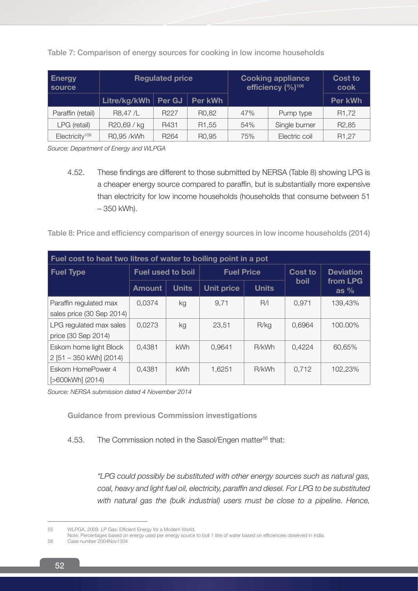| <b>Energy</b><br>source    | <b>Regulated price</b> |                  |                    | <b>Cooking appliance</b><br>efficiency (%) <sup>106</sup> |               | <b>Cost to</b><br>cook |  |
|----------------------------|------------------------|------------------|--------------------|-----------------------------------------------------------|---------------|------------------------|--|
|                            | Litre/kg/kWh           | Per GJ           | Per kWh            |                                                           |               | Per kWh                |  |
| Paraffin (retail)          | R8,47/L                | R <sub>227</sub> | R <sub>0</sub> ,82 | 47%                                                       | Pump type     | R <sub>1</sub> ,72     |  |
| LPG (retail)               | R20,69 / kg            | R431             | R <sub>1</sub> ,55 | 54%                                                       | Single burner | R <sub>2</sub> ,85     |  |
| Electricity <sup>109</sup> | R0.95 /kWh             | R <sub>264</sub> | R <sub>0</sub> ,95 | 75%                                                       | Electric coil | R <sub>1</sub> ,27     |  |

Table 7: Comparison of energy sources for cooking in low income households

Source: Department of Energy and WLPGA

4.52. These findings are different to those submitted by NERSA (Table 8) showing LPG is a cheaper energy source compared to paraffin, but is substantially more expensive than electricity for low income households (households that consume between 51 – 350 kWh).

Table 8: Price and efficiency comparison of energy sources in low income households (2014)

| Fuel cost to heat two litres of water to boiling point in a pot |                          |              |                   |              |         |                    |  |  |
|-----------------------------------------------------------------|--------------------------|--------------|-------------------|--------------|---------|--------------------|--|--|
| <b>Fuel Type</b>                                                | <b>Fuel used to boil</b> |              | <b>Fuel Price</b> |              | Cost to | <b>Deviation</b>   |  |  |
|                                                                 | <b>Amount</b>            | <b>Units</b> | <b>Unit price</b> | <b>Units</b> | boil    | from LPG<br>as $%$ |  |  |
| Paraffin regulated max<br>sales price (30 Sep 2014)             | 0.0374                   | kg           | 9.71              | R/I          | 0.971   | 139,43%            |  |  |
| LPG regulated max sales<br>price (30 Sep 2014)                  | 0,0273                   | kg           | 23,51             | R/kg         | 0,6964  | 100.00%            |  |  |
| Eskom home light Block<br>2 [51 - 350 kWh] (2014)               | 0,4381                   | <b>kWh</b>   | 0,9641            | R/kWh        | 0,4224  | 60,65%             |  |  |
| Eskom HomePower 4<br>[>600kWh] (2014)                           | 0,4381                   | <b>kWh</b>   | 1,6251            | R/kWh        | 0.712   | 102,23%            |  |  |

*Source: NERSA submission dated 4 November 2014*

**Guidance from previous Commission investigations**

# 4.53. The Commission noted in the Sasol/Engen matter<sup>56</sup> that:

*"LPG could possibly be substituted with other energy sources such as natural gas, coal, heavy and light fuel oil, electricity, paraffin and diesel. For LPG to be substituted*  with natural gas the (bulk industrial) users must be close to a pipeline. Hence,

<sup>55</sup> WLPGA. 2009. LP Gas: Efficient Energy for a Modern World.

Note: Percentages based on energy used per energy source to boil 1 litre of water based on efficiencies observed in India.

<sup>56</sup> Case number 2004Nov1304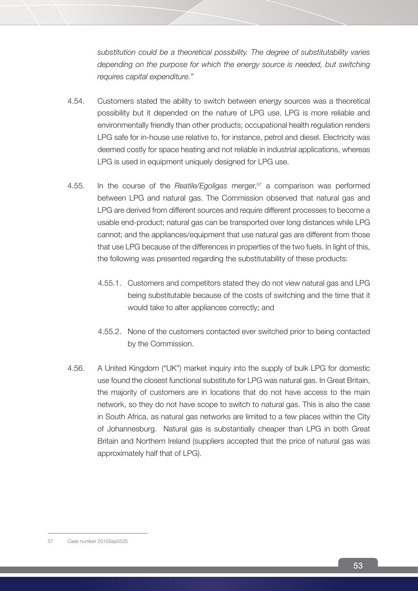*substitution could be a theoretical possibility. The degree of substitutability varies depending on the purpose for which the energy source is needed, but switching requires capital expenditure."*

- 4.54. Customers stated the ability to switch between energy sources was a theoretical possibility but it depended on the nature of LPG use. LPG is more reliable and environmentally friendly than other products; occupational health regulation renders LPG safe for in-house use relative to, for instance, petrol and diesel. Electricity was deemed costly for space heating and not reliable in industrial applications, whereas LPG is used in equipment uniquely designed for LPG use.
- 4.55. In the course of the *Reatile/Egoligas* merger,<sup>57</sup> a comparison was performed between LPG and natural gas. The Commission observed that natural gas and LPG are derived from different sources and require different processes to become a usable end-product; natural gas can be transported over long distances while LPG cannot; and the appliances/equipment that use natural gas are different from those that use LPG because of the differences in properties of the two fuels. In light of this, the following was presented regarding the substitutability of these products:
	- 4.55.1. Customers and competitors stated they do not view natural gas and LPG being substitutable because of the costs of switching and the time that it would take to alter appliances correctly; and
	- 4.55.2. None of the customers contacted ever switched prior to being contacted by the Commission.
- 4.56. A United Kingdom ("UK") market inquiry into the supply of bulk LPG for domestic use found the closest functional substitute for LPG was natural gas. In Great Britain, the majority of customers are in locations that do not have access to the main network, so they do not have scope to switch to natural gas. This is also the case in South Africa, as natural gas networks are limited to a few places within the City of Johannesburg. Natural gas is substantially cheaper than LPG in both Great Britain and Northern Ireland (suppliers accepted that the price of natural gas was approximately half that of LPG).

<sup>57</sup> Case number 2015Sep0525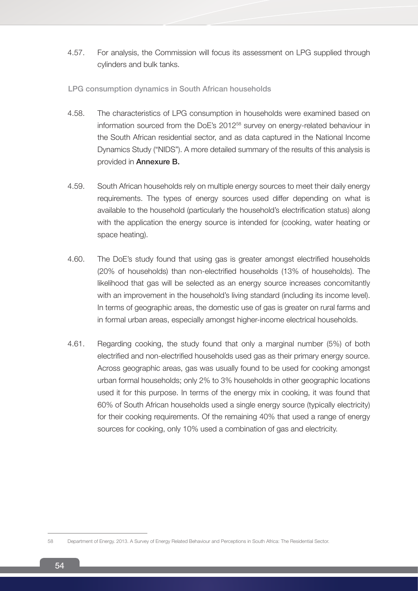4.57. For analysis, the Commission will focus its assessment on LPG supplied through cylinders and bulk tanks.

## LPG consumption dynamics in South African households

- 4.58. The characteristics of LPG consumption in households were examined based on information sourced from the DoE's 201258 survey on energy-related behaviour in the South African residential sector, and as data captured in the National Income Dynamics Study ("NIDS"). A more detailed summary of the results of this analysis is provided in Annexure B.
- 4.59. South African households rely on multiple energy sources to meet their daily energy requirements. The types of energy sources used differ depending on what is available to the household (particularly the household's electrification status) along with the application the energy source is intended for (cooking, water heating or space heating).
- 4.60. The DoE's study found that using gas is greater amongst electrified households (20% of households) than non-electrified households (13% of households). The likelihood that gas will be selected as an energy source increases concomitantly with an improvement in the household's living standard (including its income level). In terms of geographic areas, the domestic use of gas is greater on rural farms and in formal urban areas, especially amongst higher-income electrical households.
- 4.61. Regarding cooking, the study found that only a marginal number (5%) of both electrified and non-electrified households used gas as their primary energy source. Across geographic areas, gas was usually found to be used for cooking amongst urban formal households; only 2% to 3% households in other geographic locations used it for this purpose. In terms of the energy mix in cooking, it was found that 60% of South African households used a single energy source (typically electricity) for their cooking requirements. Of the remaining 40% that used a range of energy sources for cooking, only 10% used a combination of gas and electricity.

<sup>58</sup> Department of Energy. 2013. A Survey of Energy Related Behaviour and Perceptions in South Africa: The Residential Sector.